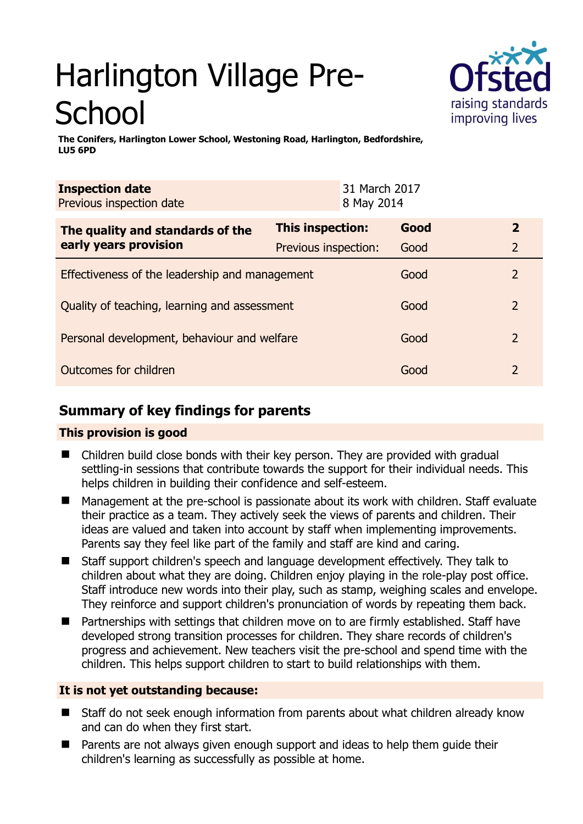# Harlington Village Pre-**School**



**The Conifers, Harlington Lower School, Westoning Road, Harlington, Bedfordshire, LU5 6PD** 

| <b>Inspection date</b><br>Previous inspection date        |                      | 31 March 2017<br>8 May 2014 |      |                |
|-----------------------------------------------------------|----------------------|-----------------------------|------|----------------|
| The quality and standards of the<br>early years provision | This inspection:     |                             | Good | $\mathbf{2}$   |
|                                                           | Previous inspection: |                             | Good | $\overline{2}$ |
| Effectiveness of the leadership and management            |                      |                             | Good | 2              |
| Quality of teaching, learning and assessment              |                      |                             | Good | $\mathcal{P}$  |
| Personal development, behaviour and welfare               |                      |                             | Good | 2              |
| Outcomes for children                                     |                      |                             | Good | 2              |

# **Summary of key findings for parents**

## **This provision is good**

- Children build close bonds with their key person. They are provided with gradual settling-in sessions that contribute towards the support for their individual needs. This helps children in building their confidence and self-esteem.
- Management at the pre-school is passionate about its work with children. Staff evaluate their practice as a team. They actively seek the views of parents and children. Their ideas are valued and taken into account by staff when implementing improvements. Parents say they feel like part of the family and staff are kind and caring.
- Staff support children's speech and language development effectively. They talk to children about what they are doing. Children enjoy playing in the role-play post office. Staff introduce new words into their play, such as stamp, weighing scales and envelope. They reinforce and support children's pronunciation of words by repeating them back.
- Partnerships with settings that children move on to are firmly established. Staff have developed strong transition processes for children. They share records of children's progress and achievement. New teachers visit the pre-school and spend time with the children. This helps support children to start to build relationships with them.

## **It is not yet outstanding because:**

- Staff do not seek enough information from parents about what children already know and can do when they first start.
- Parents are not always given enough support and ideas to help them guide their children's learning as successfully as possible at home.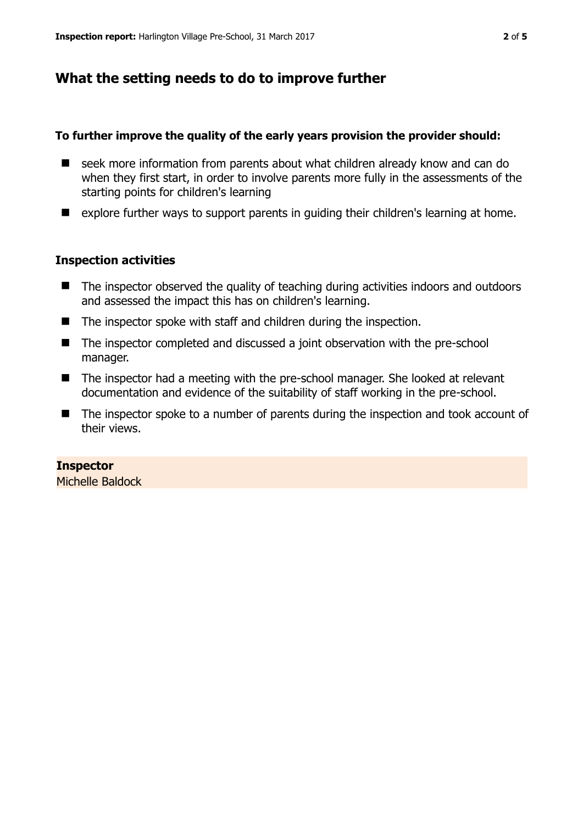## **What the setting needs to do to improve further**

#### **To further improve the quality of the early years provision the provider should:**

- seek more information from parents about what children already know and can do when they first start, in order to involve parents more fully in the assessments of the starting points for children's learning
- explore further ways to support parents in quiding their children's learning at home.

#### **Inspection activities**

- The inspector observed the quality of teaching during activities indoors and outdoors and assessed the impact this has on children's learning.
- The inspector spoke with staff and children during the inspection.
- The inspector completed and discussed a joint observation with the pre-school manager.
- The inspector had a meeting with the pre-school manager. She looked at relevant documentation and evidence of the suitability of staff working in the pre-school.
- The inspector spoke to a number of parents during the inspection and took account of their views.

**Inspector**  Michelle Baldock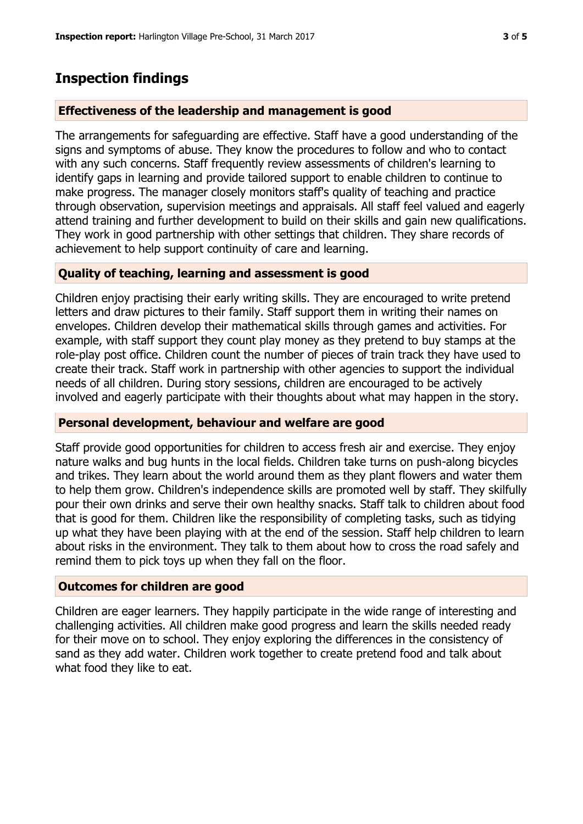## **Inspection findings**

### **Effectiveness of the leadership and management is good**

The arrangements for safeguarding are effective. Staff have a good understanding of the signs and symptoms of abuse. They know the procedures to follow and who to contact with any such concerns. Staff frequently review assessments of children's learning to identify gaps in learning and provide tailored support to enable children to continue to make progress. The manager closely monitors staff's quality of teaching and practice through observation, supervision meetings and appraisals. All staff feel valued and eagerly attend training and further development to build on their skills and gain new qualifications. They work in good partnership with other settings that children. They share records of achievement to help support continuity of care and learning.

#### **Quality of teaching, learning and assessment is good**

Children enjoy practising their early writing skills. They are encouraged to write pretend letters and draw pictures to their family. Staff support them in writing their names on envelopes. Children develop their mathematical skills through games and activities. For example, with staff support they count play money as they pretend to buy stamps at the role-play post office. Children count the number of pieces of train track they have used to create their track. Staff work in partnership with other agencies to support the individual needs of all children. During story sessions, children are encouraged to be actively involved and eagerly participate with their thoughts about what may happen in the story.

#### **Personal development, behaviour and welfare are good**

Staff provide good opportunities for children to access fresh air and exercise. They enjoy nature walks and bug hunts in the local fields. Children take turns on push-along bicycles and trikes. They learn about the world around them as they plant flowers and water them to help them grow. Children's independence skills are promoted well by staff. They skilfully pour their own drinks and serve their own healthy snacks. Staff talk to children about food that is good for them. Children like the responsibility of completing tasks, such as tidying up what they have been playing with at the end of the session. Staff help children to learn about risks in the environment. They talk to them about how to cross the road safely and remind them to pick toys up when they fall on the floor.

## **Outcomes for children are good**

Children are eager learners. They happily participate in the wide range of interesting and challenging activities. All children make good progress and learn the skills needed ready for their move on to school. They enjoy exploring the differences in the consistency of sand as they add water. Children work together to create pretend food and talk about what food they like to eat.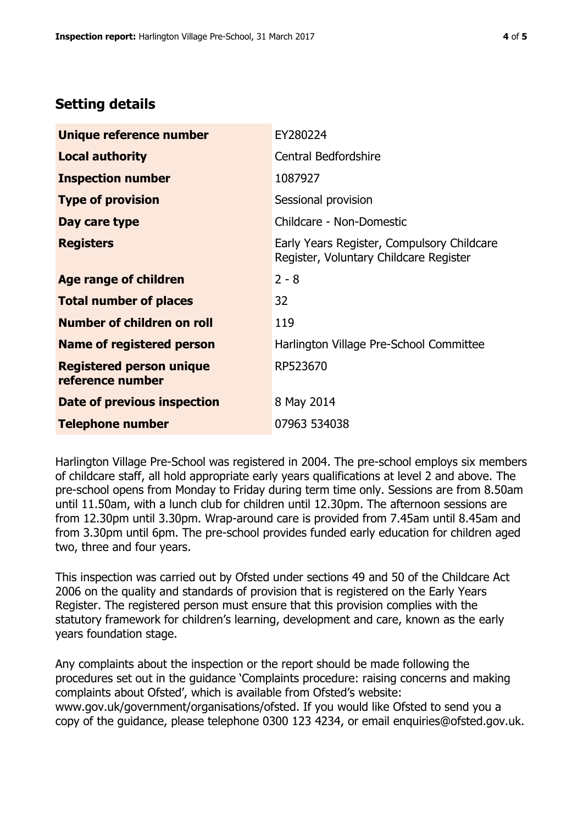# **Setting details**

| Unique reference number                             | EY280224                                                                             |  |
|-----------------------------------------------------|--------------------------------------------------------------------------------------|--|
| <b>Local authority</b>                              | <b>Central Bedfordshire</b>                                                          |  |
| <b>Inspection number</b>                            | 1087927                                                                              |  |
| <b>Type of provision</b>                            | Sessional provision                                                                  |  |
| Day care type                                       | Childcare - Non-Domestic                                                             |  |
| <b>Registers</b>                                    | Early Years Register, Compulsory Childcare<br>Register, Voluntary Childcare Register |  |
| Age range of children                               | $2 - 8$                                                                              |  |
| <b>Total number of places</b>                       | 32                                                                                   |  |
| Number of children on roll                          | 119                                                                                  |  |
| Name of registered person                           | Harlington Village Pre-School Committee                                              |  |
| <b>Registered person unique</b><br>reference number | RP523670                                                                             |  |
| Date of previous inspection                         | 8 May 2014                                                                           |  |
| <b>Telephone number</b>                             | 07963 534038                                                                         |  |

Harlington Village Pre-School was registered in 2004. The pre-school employs six members of childcare staff, all hold appropriate early years qualifications at level 2 and above. The pre-school opens from Monday to Friday during term time only. Sessions are from 8.50am until 11.50am, with a lunch club for children until 12.30pm. The afternoon sessions are from 12.30pm until 3.30pm. Wrap-around care is provided from 7.45am until 8.45am and from 3.30pm until 6pm. The pre-school provides funded early education for children aged two, three and four years.

This inspection was carried out by Ofsted under sections 49 and 50 of the Childcare Act 2006 on the quality and standards of provision that is registered on the Early Years Register. The registered person must ensure that this provision complies with the statutory framework for children's learning, development and care, known as the early years foundation stage.

Any complaints about the inspection or the report should be made following the procedures set out in the guidance 'Complaints procedure: raising concerns and making complaints about Ofsted', which is available from Ofsted's website: www.gov.uk/government/organisations/ofsted. If you would like Ofsted to send you a copy of the guidance, please telephone 0300 123 4234, or email enquiries@ofsted.gov.uk.